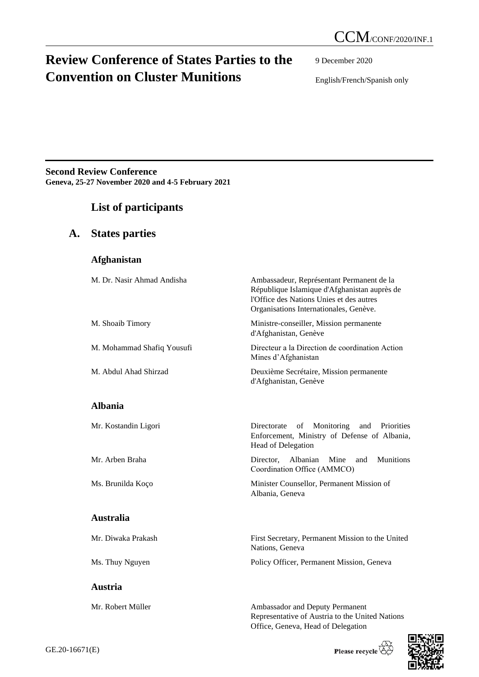# **Review Conference of States Parties to the Convention on Cluster Munitions**

9 December 2020

English/French/Spanish only

**Second Review Conference Geneva, 25-27 November 2020 and 4-5 February 2021**

### **List of participants**

| $\mathbf{A}$ . |  | <b>States parties</b> |
|----------------|--|-----------------------|
|----------------|--|-----------------------|

|  |  | Afghanistan |
|--|--|-------------|
|  |  |             |

| M. Dr. Nasir Ahmad Andisha | Ambassadeur, Représentant Permanent de la<br>République Islamique d'Afghanistan auprès de<br>l'Office des Nations Unies et des autres<br>Organisations Internationales, Genève. |
|----------------------------|---------------------------------------------------------------------------------------------------------------------------------------------------------------------------------|
| M. Shoaib Timory           | Ministre-conseiller, Mission permanente<br>d'Afghanistan, Genève                                                                                                                |
| M. Mohammad Shafiq Yousufi | Directeur a la Direction de coordination Action<br>Mines d'Afghanistan                                                                                                          |
| M. Abdul Ahad Shirzad      | Deuxième Secrétaire, Mission permanente<br>d'Afghanistan, Genève                                                                                                                |
| <b>Albania</b>             |                                                                                                                                                                                 |
| Mr. Kostandin Ligori       | Monitoring and<br>of<br>Directorate<br><b>Priorities</b><br>Enforcement, Ministry of Defense of Albania,<br>Head of Delegation                                                  |
| Mr. Arben Braha            | <b>Munitions</b><br>Albanian<br>Mine<br>Director.<br>and<br>Coordination Office (AMMCO)                                                                                         |
| Ms. Brunilda Koco          | Minister Counsellor, Permanent Mission of<br>Albania, Geneva                                                                                                                    |
| <b>Australia</b>           |                                                                                                                                                                                 |
| Mr. Diwaka Prakash         | First Secretary, Permanent Mission to the United<br>Nations, Geneva                                                                                                             |

Ms. Thuy Nguyen Policy Officer, Permanent Mission, Geneva

Mr. Robert Müller Ambassador and Deputy Permanent Representative of Austria to the United Nations Office, Geneva, Head of Delegation

**Austria**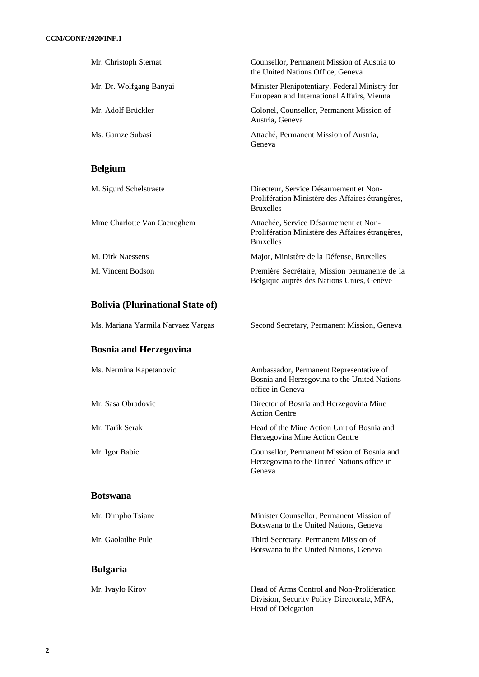| Mr. Christoph Sternat                   | Counsellor, Permanent Mission of Austria to<br>the United Nations Office, Geneva                               |
|-----------------------------------------|----------------------------------------------------------------------------------------------------------------|
| Mr. Dr. Wolfgang Banyai                 | Minister Plenipotentiary, Federal Ministry for<br>European and International Affairs, Vienna                   |
| Mr. Adolf Brückler                      | Colonel, Counsellor, Permanent Mission of<br>Austria, Geneva                                                   |
| Ms. Gamze Subasi                        | Attaché, Permanent Mission of Austria,<br>Geneva                                                               |
| <b>Belgium</b>                          |                                                                                                                |
| M. Sigurd Schelstraete                  | Directeur, Service Désarmement et Non-<br>Prolifération Ministère des Affaires étrangères,<br><b>Bruxelles</b> |
| Mme Charlotte Van Caeneghem             | Attachée, Service Désarmement et Non-<br>Prolifération Ministère des Affaires étrangères,<br><b>Bruxelles</b>  |
| M. Dirk Naessens                        | Major, Ministère de la Défense, Bruxelles                                                                      |
| M. Vincent Bodson                       | Première Secrétaire, Mission permanente de la<br>Belgique auprès des Nations Unies, Genève                     |
| <b>Bolivia (Plurinational State of)</b> |                                                                                                                |
| Ms. Mariana Yarmila Narvaez Vargas      | Second Secretary, Permanent Mission, Geneva                                                                    |
|                                         |                                                                                                                |
| <b>Bosnia and Herzegovina</b>           |                                                                                                                |
| Ms. Nermina Kapetanovic                 | Ambassador, Permanent Representative of<br>Bosnia and Herzegovina to the United Nations<br>office in Geneva    |
| Mr. Sasa Obradovic                      | Director of Bosnia and Herzegovina Mine<br>Action Centre                                                       |
| Mr. Tarik Serak                         | Head of the Mine Action Unit of Bosnia and<br>Herzegovina Mine Action Centre                                   |
| Mr. Igor Babic                          | Counsellor, Permanent Mission of Bosnia and<br>Herzegovina to the United Nations office in<br>Geneva           |
| <b>Botswana</b>                         |                                                                                                                |
| Mr. Dimpho Tsiane                       | Minister Counsellor, Permanent Mission of<br>Botswana to the United Nations, Geneva                            |
| Mr. Gaolatlhe Pule                      | Third Secretary, Permanent Mission of<br>Botswana to the United Nations, Geneva                                |
| <b>Bulgaria</b>                         |                                                                                                                |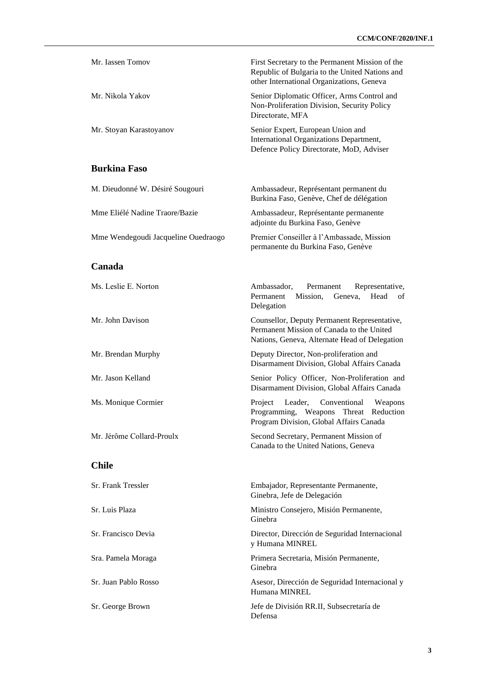| Mr. Iassen Tomov                    | First Secretary to the Permanent Mission of the<br>Republic of Bulgaria to the United Nations and<br>other International Organizations, Geneva |
|-------------------------------------|------------------------------------------------------------------------------------------------------------------------------------------------|
| Mr. Nikola Yakov                    | Senior Diplomatic Officer, Arms Control and<br>Non-Proliferation Division, Security Policy<br>Directorate, MFA                                 |
| Mr. Stoyan Karastoyanov             | Senior Expert, European Union and<br>International Organizations Department,<br>Defence Policy Directorate, MoD, Adviser                       |
| <b>Burkina Faso</b>                 |                                                                                                                                                |
| M. Dieudonné W. Désiré Sougouri     | Ambassadeur, Représentant permanent du<br>Burkina Faso, Genève, Chef de délégation                                                             |
| Mme Eliélé Nadine Traore/Bazie      | Ambassadeur, Représentante permanente<br>adjointe du Burkina Faso, Genève                                                                      |
| Mme Wendegoudi Jacqueline Ouedraogo | Premier Conseiller à l'Ambassade, Mission<br>permanente du Burkina Faso, Genève                                                                |
| Canada                              |                                                                                                                                                |
| Ms. Leslie E. Norton                | Ambassador.<br>Permanent<br>Representative,<br>Permanent<br>Mission,<br>Head<br>Geneva,<br>οf<br>Delegation                                    |
| Mr. John Davison                    | Counsellor, Deputy Permanent Representative,<br>Permanent Mission of Canada to the United<br>Nations, Geneva, Alternate Head of Delegation     |
| Mr. Brendan Murphy                  | Deputy Director, Non-proliferation and<br>Disarmament Division, Global Affairs Canada                                                          |
| Mr. Jason Kelland                   | Senior Policy Officer, Non-Proliferation and<br>Disarmament Division, Global Affairs Canada                                                    |
| Ms. Monique Cormier                 | Project<br>Leader,<br>Conventional<br>Weapons<br>Programming, Weapons Threat Reduction<br>Program Division, Global Affairs Canada              |
| Mr. Jérôme Collard-Proulx           | Second Secretary, Permanent Mission of<br>Canada to the United Nations, Geneva                                                                 |
| <b>Chile</b>                        |                                                                                                                                                |
| Sr. Frank Tressler                  | Embajador, Representante Permanente,<br>Ginebra, Jefe de Delegación                                                                            |
| Sr. Luis Plaza                      | Ministro Consejero, Misión Permanente,<br>Ginebra                                                                                              |
| Sr. Francisco Devia                 | Director, Dirección de Seguridad Internacional<br>y Humana MINREL                                                                              |
| Sra. Pamela Moraga                  | Primera Secretaria, Misión Permanente,<br>Ginebra                                                                                              |
| Sr. Juan Pablo Rosso                | Asesor, Dirección de Seguridad Internacional y<br>Humana MINREL                                                                                |
| Sr. George Brown                    | Jefe de División RR.II, Subsecretaría de<br>Defensa                                                                                            |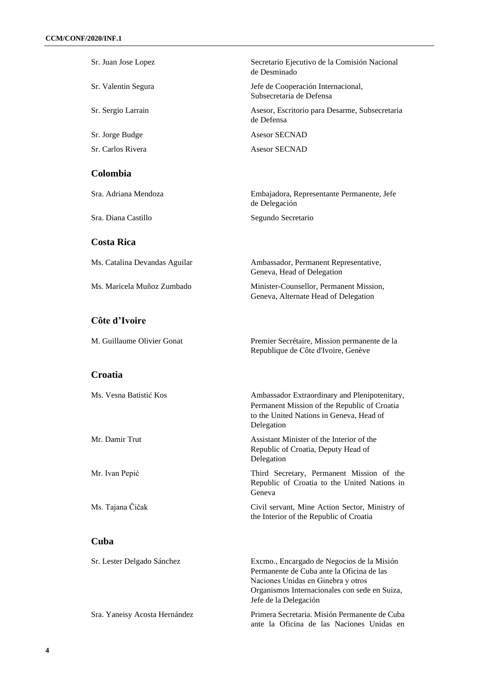| Sr. Juan Jose Lopez           | Secretario Ejecutivo de la Comisión Nacional<br>de Desminado                                                                                                                                            |
|-------------------------------|---------------------------------------------------------------------------------------------------------------------------------------------------------------------------------------------------------|
| Sr. Valentin Segura           | Jefe de Cooperación Internacional,<br>Subsecretaria de Defensa                                                                                                                                          |
| Sr. Sergio Larrain            | Asesor, Escritorio para Desarme, Subsecretaria<br>de Defensa                                                                                                                                            |
| Sr. Jorge Budge               | <b>Asesor SECNAD</b>                                                                                                                                                                                    |
| Sr. Carlos Rivera             | <b>Asesor SECNAD</b>                                                                                                                                                                                    |
| Colombia                      |                                                                                                                                                                                                         |
| Sra. Adriana Mendoza          | Embajadora, Representante Permanente, Jefe<br>de Delegación                                                                                                                                             |
| Sra. Diana Castillo           | Segundo Secretario                                                                                                                                                                                      |
| <b>Costa Rica</b>             |                                                                                                                                                                                                         |
| Ms. Catalina Devandas Aguilar | Ambassador, Permanent Representative,<br>Geneva, Head of Delegation                                                                                                                                     |
| Ms. Maricela Muñoz Zumbado    | Minister-Counsellor, Permanent Mission,<br>Geneva, Alternate Head of Delegation                                                                                                                         |
| Côte d'Ivoire                 |                                                                                                                                                                                                         |
| M. Guillaume Olivier Gonat    | Premier Secrétaire, Mission permanente de la<br>Republique de Côte d'Ivoire, Genève                                                                                                                     |
| <b>Croatia</b>                |                                                                                                                                                                                                         |
| Ms. Vesna Batistić Kos        | Ambassador Extraordinary and Plenipotenitary,<br>Permanent Mission of the Republic of Croatia<br>to the United Nations in Geneva, Head of<br>Delegation                                                 |
| Mr. Damir Trut                | Assistant Minister of the Interior of the<br>Republic of Croatia, Deputy Head of<br>Delegation                                                                                                          |
| Mr. Ivan Pepić                | Third Secretary, Permanent Mission of the<br>Republic of Croatia to the United Nations in<br>Geneva                                                                                                     |
| Ms. Tajana Čičak              | Civil servant, Mine Action Sector, Ministry of<br>the Interior of the Republic of Croatia                                                                                                               |
| Cuba                          |                                                                                                                                                                                                         |
| Sr. Lester Delgado Sánchez    | Excmo., Encargado de Negocios de la Misión<br>Permanente de Cuba ante la Oficina de las<br>Naciones Unidas en Ginebra y otros<br>Organismos Internacionales con sede en Suiza,<br>Jefe de la Delegación |
| Sra. Yaneisy Acosta Hernández | Primera Secretaria. Misión Permanente de Cuba<br>ante la Oficina de las Naciones Unidas en                                                                                                              |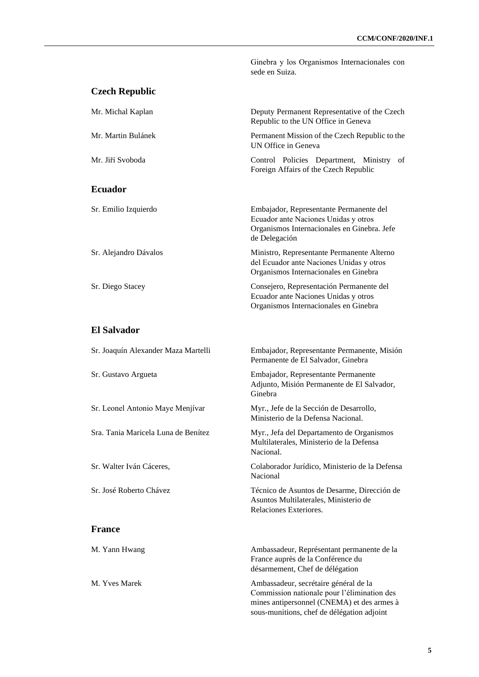|                                     | Ginebra y los Organismos Internacionales con<br>sede en Suiza.                                                                                  |
|-------------------------------------|-------------------------------------------------------------------------------------------------------------------------------------------------|
| <b>Czech Republic</b>               |                                                                                                                                                 |
| Mr. Michal Kaplan                   | Deputy Permanent Representative of the Czech<br>Republic to the UN Office in Geneva                                                             |
| Mr. Martin Bulánek                  | Permanent Mission of the Czech Republic to the<br>UN Office in Geneva                                                                           |
| Mr. Jiří Svoboda                    | Control Policies Department, Ministry of<br>Foreign Affairs of the Czech Republic                                                               |
| <b>Ecuador</b>                      |                                                                                                                                                 |
| Sr. Emilio Izquierdo                | Embajador, Representante Permanente del<br>Ecuador ante Naciones Unidas y otros<br>Organismos Internacionales en Ginebra. Jefe<br>de Delegación |
| Sr. Alejandro Dávalos               | Ministro, Representante Permanente Alterno<br>del Ecuador ante Naciones Unidas y otros<br>Organismos Internacionales en Ginebra                 |
| Sr. Diego Stacey                    | Consejero, Representación Permanente del<br>Ecuador ante Naciones Unidas y otros<br>Organismos Internacionales en Ginebra                       |
| <b>El Salvador</b>                  |                                                                                                                                                 |
| Sr. Joaquín Alexander Maza Martelli | Embajador, Representante Permanente, Misión<br>Permanente de El Salvador, Ginebra                                                               |
| Sr. Gustavo Argueta                 | Embajador, Representante Permanente<br>Adjunto, Misión Permanente de El Salvador,<br>Ginebra                                                    |
| Sr. Leonel Antonio Maye Menjívar    | Myr., Jefe de la Sección de Desarrollo,<br>Ministerio de la Defensa Nacional.                                                                   |
| Sra. Tania Maricela Luna de Benítez | Myr., Jefa del Departamento de Organismos<br>Multilaterales, Ministerio de la Defensa<br>Nacional.                                              |
| Sr. Walter Iván Cáceres,            | Colaborador Jurídico, Ministerio de la Defensa<br>Nacional                                                                                      |
| Sr. José Roberto Chávez             | Técnico de Asuntos de Desarme, Dirección de<br>Asuntos Multilaterales, Ministerio de<br>Relaciones Exteriores.                                  |
| <b>France</b>                       |                                                                                                                                                 |
| M. Yann Hwang                       | Ambassadeur, Représentant permanente de la<br>France auprès de la Conférence du<br>désarmement, Chef de délégation                              |
| M. Yves Marek                       | Ambassadeur, secrétaire général de la<br>Commission nationale pour l'élimination des<br>mines antipersonnel (CNEMA) et des armes à              |

sous-munitions, chef de délégation adjoint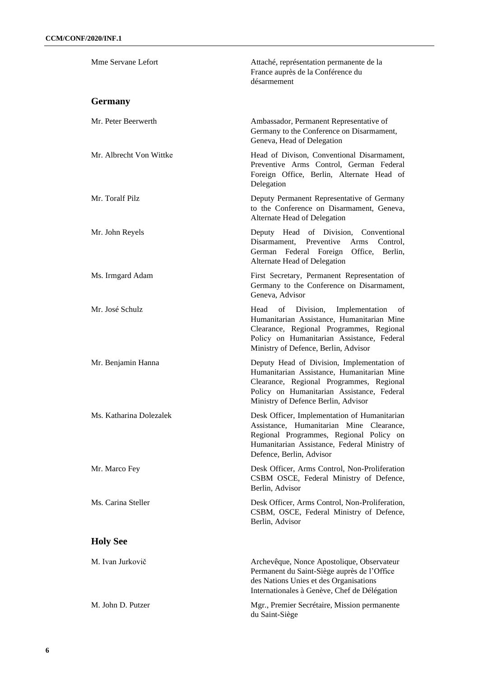| Mme Servane Lefort      | Attaché, représentation permanente de la<br>France auprès de la Conférence du<br>désarmement                                                                                                                                 |
|-------------------------|------------------------------------------------------------------------------------------------------------------------------------------------------------------------------------------------------------------------------|
| <b>Germany</b>          |                                                                                                                                                                                                                              |
| Mr. Peter Beerwerth     | Ambassador, Permanent Representative of<br>Germany to the Conference on Disarmament,<br>Geneva, Head of Delegation                                                                                                           |
| Mr. Albrecht Von Wittke | Head of Divison, Conventional Disarmament,<br>Preventive Arms Control, German Federal<br>Foreign Office, Berlin, Alternate Head of<br>Delegation                                                                             |
| Mr. Toralf Pilz         | Deputy Permanent Representative of Germany<br>to the Conference on Disarmament, Geneva,<br>Alternate Head of Delegation                                                                                                      |
| Mr. John Reyels         | Deputy Head of Division, Conventional<br>Disarmament,<br>Preventive<br>Arms<br>Control.<br>Federal Foreign Office,<br>German<br>Berlin,<br>Alternate Head of Delegation                                                      |
| Ms. Irmgard Adam        | First Secretary, Permanent Representation of<br>Germany to the Conference on Disarmament,<br>Geneva, Advisor                                                                                                                 |
| Mr. José Schulz         | Head<br>Division, Implementation<br>of<br>οf<br>Humanitarian Assistance, Humanitarian Mine<br>Clearance, Regional Programmes, Regional<br>Policy on Humanitarian Assistance, Federal<br>Ministry of Defence, Berlin, Advisor |
| Mr. Benjamin Hanna      | Deputy Head of Division, Implementation of<br>Humanitarian Assistance, Humanitarian Mine<br>Clearance, Regional Programmes, Regional<br>Policy on Humanitarian Assistance, Federal<br>Ministry of Defence Berlin, Advisor    |
| Ms. Katharina Dolezalek | Desk Officer, Implementation of Humanitarian<br>Assistance, Humanitarian Mine Clearance,<br>Regional Programmes, Regional Policy on<br>Humanitarian Assistance, Federal Ministry of<br>Defence, Berlin, Advisor              |
| Mr. Marco Fey           | Desk Officer, Arms Control, Non-Proliferation<br>CSBM OSCE, Federal Ministry of Defence,<br>Berlin, Advisor                                                                                                                  |
| Ms. Carina Steller      | Desk Officer, Arms Control, Non-Proliferation,<br>CSBM, OSCE, Federal Ministry of Defence,<br>Berlin, Advisor                                                                                                                |
| <b>Holy See</b>         |                                                                                                                                                                                                                              |
| M. Ivan Jurkovič        | Archevêque, Nonce Apostolique, Observateur<br>Permanent du Saint-Siège auprès de l'Office<br>des Nations Unies et des Organisations<br>Internationales à Genève, Chef de Délégation                                          |
| M. John D. Putzer       | Mgr., Premier Secrétaire, Mission permanente<br>du Saint-Siège                                                                                                                                                               |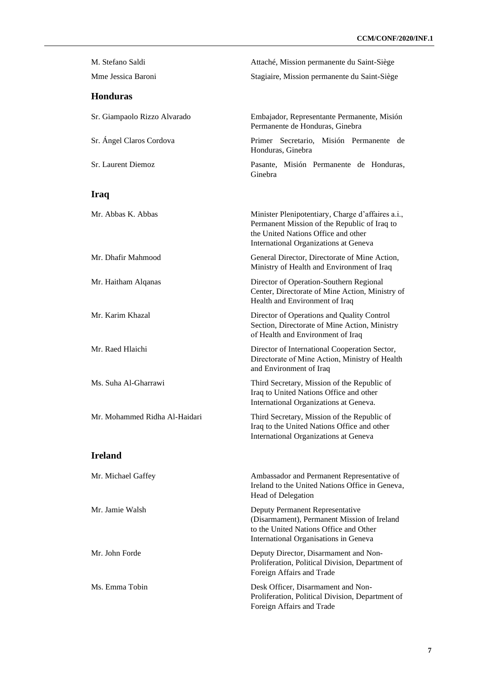| M. Stefano Saldi              | Attaché, Mission permanente du Saint-Siège                                                                                                                                        |
|-------------------------------|-----------------------------------------------------------------------------------------------------------------------------------------------------------------------------------|
| Mme Jessica Baroni            | Stagiaire, Mission permanente du Saint-Siège                                                                                                                                      |
| <b>Honduras</b>               |                                                                                                                                                                                   |
| Sr. Giampaolo Rizzo Alvarado  | Embajador, Representante Permanente, Misión<br>Permanente de Honduras, Ginebra                                                                                                    |
| Sr. Ángel Claros Cordova      | Primer Secretario, Misión Permanente<br>de<br>Honduras, Ginebra                                                                                                                   |
| Sr. Laurent Diemoz            | Pasante, Misión Permanente de Honduras,<br>Ginebra                                                                                                                                |
| Iraq                          |                                                                                                                                                                                   |
| Mr. Abbas K. Abbas            | Minister Plenipotentiary, Charge d'affaires a.i.,<br>Permanent Mission of the Republic of Iraq to<br>the United Nations Office and other<br>International Organizations at Geneva |
| Mr. Dhafir Mahmood            | General Director, Directorate of Mine Action,<br>Ministry of Health and Environment of Iraq                                                                                       |
| Mr. Haitham Alqanas           | Director of Operation-Southern Regional<br>Center, Directorate of Mine Action, Ministry of<br>Health and Environment of Iraq                                                      |
| Mr. Karim Khazal              | Director of Operations and Quality Control<br>Section, Directorate of Mine Action, Ministry<br>of Health and Environment of Iraq                                                  |
| Mr. Raed Hlaichi              | Director of International Cooperation Sector,<br>Directorate of Mine Action, Ministry of Health<br>and Environment of Iraq                                                        |
| Ms. Suha Al-Gharrawi          | Third Secretary, Mission of the Republic of<br>Iraq to United Nations Office and other<br>International Organizations at Geneva.                                                  |
| Mr. Mohammed Ridha Al-Haidari | Third Secretary, Mission of the Republic of<br>Iraq to the United Nations Office and other<br>International Organizations at Geneva                                               |
| <b>Ireland</b>                |                                                                                                                                                                                   |
| Mr. Michael Gaffey            | Ambassador and Permanent Representative of<br>Ireland to the United Nations Office in Geneva,<br>Head of Delegation                                                               |
| Mr. Jamie Walsh               | Deputy Permanent Representative<br>(Disarmament), Permanent Mission of Ireland<br>to the United Nations Office and Other<br>International Organisations in Geneva                 |
| Mr. John Forde                | Deputy Director, Disarmament and Non-<br>Proliferation, Political Division, Department of<br>Foreign Affairs and Trade                                                            |
| Ms. Emma Tobin                | Desk Officer, Disarmament and Non-<br>Proliferation, Political Division, Department of<br>Foreign Affairs and Trade                                                               |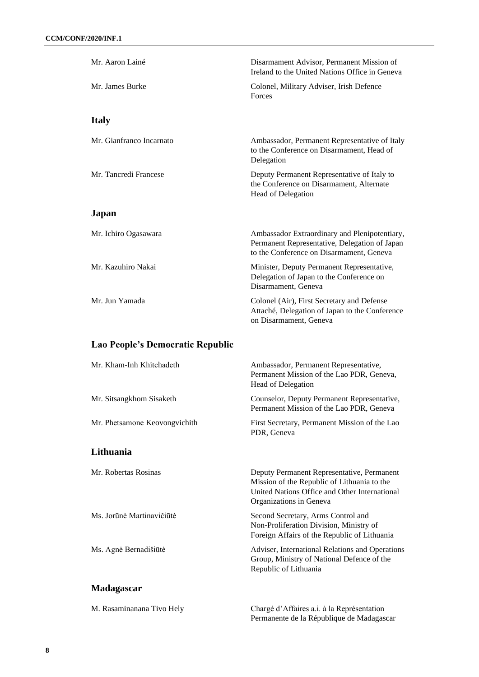| Mr. Aaron Lainé                  | Disarmament Advisor, Permanent Mission of<br>Ireland to the United Nations Office in Geneva                                                                           |
|----------------------------------|-----------------------------------------------------------------------------------------------------------------------------------------------------------------------|
| Mr. James Burke                  | Colonel, Military Adviser, Irish Defence<br>Forces                                                                                                                    |
| <b>Italy</b>                     |                                                                                                                                                                       |
| Mr. Gianfranco Incarnato         | Ambassador, Permanent Representative of Italy<br>to the Conference on Disarmament, Head of<br>Delegation                                                              |
| Mr. Tancredi Francese            | Deputy Permanent Representative of Italy to<br>the Conference on Disarmament, Alternate<br>Head of Delegation                                                         |
| Japan                            |                                                                                                                                                                       |
| Mr. Ichiro Ogasawara             | Ambassador Extraordinary and Plenipotentiary,<br>Permanent Representative, Delegation of Japan<br>to the Conference on Disarmament, Geneva                            |
| Mr. Kazuhiro Nakai               | Minister, Deputy Permanent Representative,<br>Delegation of Japan to the Conference on<br>Disarmament, Geneva                                                         |
| Mr. Jun Yamada                   | Colonel (Air), First Secretary and Defense<br>Attaché, Delegation of Japan to the Conference<br>on Disarmament, Geneva                                                |
| Lao People's Democratic Republic |                                                                                                                                                                       |
| Mr. Kham-Inh Khitchadeth         | Ambassador, Permanent Representative,<br>Permanent Mission of the Lao PDR, Geneva,<br>Head of Delegation                                                              |
| Mr. Sitsangkhom Sisaketh         | Counselor, Deputy Permanent Representative,<br>Permanent Mission of the Lao PDR, Geneva                                                                               |
| Mr. Phetsamone Keovongvichith    | First Secretary, Permanent Mission of the Lao<br>PDR, Geneva                                                                                                          |
| Lithuania                        |                                                                                                                                                                       |
| Mr. Robertas Rosinas             | Deputy Permanent Representative, Permanent<br>Mission of the Republic of Lithuania to the<br>United Nations Office and Other International<br>Organizations in Geneva |
| Ms. Jorūnė Martinavičiūtė        | Second Secretary, Arms Control and<br>Non-Proliferation Division, Ministry of<br>Foreign Affairs of the Republic of Lithuania                                         |
| Ms. Agnė Bernadišiūtė            | Adviser, International Relations and Operations<br>Group, Ministry of National Defence of the<br>Republic of Lithuania                                                |
| <b>Madagascar</b>                |                                                                                                                                                                       |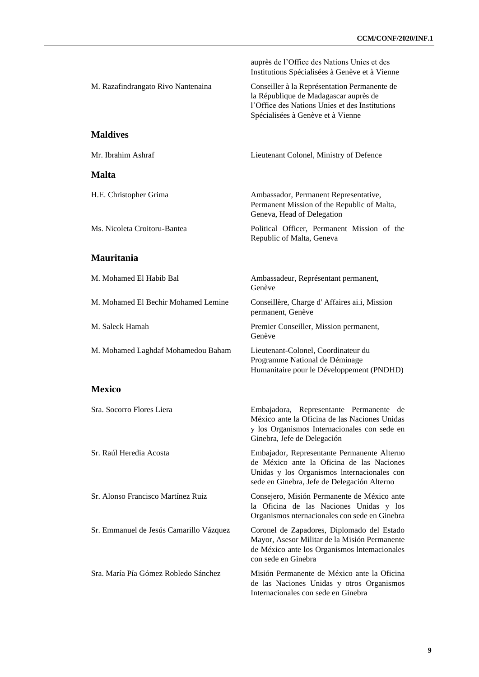|                                         | auprès de l'Office des Nations Unies et des<br>Institutions Spécialisées à Genève et à Vienne                                                                                          |
|-----------------------------------------|----------------------------------------------------------------------------------------------------------------------------------------------------------------------------------------|
| M. Razafindrangato Rivo Nantenaina      | Conseiller à la Représentation Permanente de<br>la République de Madagascar auprès de<br>l'Office des Nations Unies et des Institutions<br>Spécialisées à Genève et à Vienne           |
| <b>Maldives</b>                         |                                                                                                                                                                                        |
| Mr. Ibrahim Ashraf                      | Lieutenant Colonel, Ministry of Defence                                                                                                                                                |
| <b>Malta</b>                            |                                                                                                                                                                                        |
| H.E. Christopher Grima                  | Ambassador, Permanent Representative,<br>Permanent Mission of the Republic of Malta,<br>Geneva, Head of Delegation                                                                     |
| Ms. Nicoleta Croitoru-Bantea            | Political Officer, Permanent Mission of the<br>Republic of Malta, Geneva                                                                                                               |
| <b>Mauritania</b>                       |                                                                                                                                                                                        |
| M. Mohamed El Habib Bal                 | Ambassadeur, Représentant permanent,<br>Genève                                                                                                                                         |
| M. Mohamed El Bechir Mohamed Lemine     | Conseillère, Charge d'Affaires ai.i, Mission<br>permanent, Genève                                                                                                                      |
| M. Saleck Hamah                         | Premier Conseiller, Mission permanent,<br>Genève                                                                                                                                       |
| M. Mohamed Laghdaf Mohamedou Baham      | Lieutenant-Colonel, Coordinateur du<br>Programme National de Déminage<br>Humanitaire pour le Développement (PNDHD)                                                                     |
| <b>Mexico</b>                           |                                                                                                                                                                                        |
| Sra. Socorro Flores Liera               | Embajadora, Representante Permanente de<br>México ante la Oficina de las Naciones Unidas<br>y los Organismos Internacionales con sede en<br>Ginebra, Jefe de Delegación                |
| Sr. Raúl Heredia Acosta                 | Embajador, Representante Permanente Alterno<br>de México ante la Oficina de las Naciones<br>Unidas y los Organismos Internacionales con<br>sede en Ginebra, Jefe de Delegación Alterno |
| Sr. Alonso Francisco Martínez Ruiz      | Consejero, Misión Permanente de México ante<br>la Oficina de las Naciones Unidas y los<br>Organismos nternacionales con sede en Ginebra                                                |
| Sr. Emmanuel de Jesús Camarillo Vázquez | Coronel de Zapadores, Diplomado del Estado<br>Mayor, Asesor Militar de la Misión Permanente<br>de México ante los Organismos Internacionales<br>con sede en Ginebra                    |
| Sra. María Pía Gómez Robledo Sánchez    | Misión Permanente de México ante la Oficina<br>de las Naciones Unidas y otros Organismos<br>Internacionales con sede en Ginebra                                                        |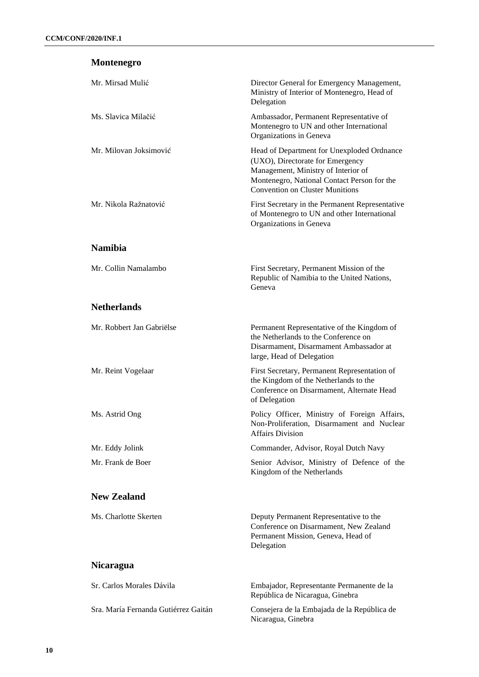## **Montenegro**

| Mr. Mirsad Mulić          | Director General for Emergency Management,<br>Ministry of Interior of Montenegro, Head of<br>Delegation                                                                                                        |
|---------------------------|----------------------------------------------------------------------------------------------------------------------------------------------------------------------------------------------------------------|
| Ms. Slavica Milačić       | Ambassador, Permanent Representative of<br>Montenegro to UN and other International<br>Organizations in Geneva                                                                                                 |
| Mr. Milovan Joksimović    | Head of Department for Unexploded Ordnance<br>(UXO), Directorate for Emergency<br>Management, Ministry of Interior of<br>Montenegro, National Contact Person for the<br><b>Convention on Cluster Munitions</b> |
| Mr. Nikola Ražnatović     | First Secretary in the Permanent Representative<br>of Montenegro to UN and other International<br>Organizations in Geneva                                                                                      |
| <b>Namibia</b>            |                                                                                                                                                                                                                |
| Mr. Collin Namalambo      | First Secretary, Permanent Mission of the<br>Republic of Namibia to the United Nations,<br>Geneva                                                                                                              |
| <b>Netherlands</b>        |                                                                                                                                                                                                                |
| Mr. Robbert Jan Gabriëlse | Permanent Representative of the Kingdom of<br>the Netherlands to the Conference on<br>Disarmament, Disarmament Ambassador at<br>large, Head of Delegation                                                      |
| Mr. Reint Vogelaar        | First Secretary, Permanent Representation of<br>the Kingdom of the Netherlands to the<br>Conference on Disarmament, Alternate Head<br>of Delegation                                                            |
| Ms. Astrid Ong            | Policy Officer, Ministry of Foreign Affairs,<br>Non-Proliferation, Disarmament and Nuclear<br>Affairs Division                                                                                                 |
| Mr. Eddy Jolink           | Commander, Advisor, Royal Dutch Navy                                                                                                                                                                           |
| Mr. Frank de Boer         | Senior Advisor, Ministry of Defence of the<br>Kingdom of the Netherlands                                                                                                                                       |
| <b>New Zealand</b>        |                                                                                                                                                                                                                |
| Ms. Charlotte Skerten     | Deputy Permanent Representative to the<br>Conference on Disarmament, New Zealand<br>Permanent Mission, Geneva, Head of<br>Delegation                                                                           |
| <b>Nicaragua</b>          |                                                                                                                                                                                                                |
| Sr. Carlos Morales Dávila | Embajador, Representante Permanente de la<br>República de Nicaragua, Ginebra                                                                                                                                   |
|                           |                                                                                                                                                                                                                |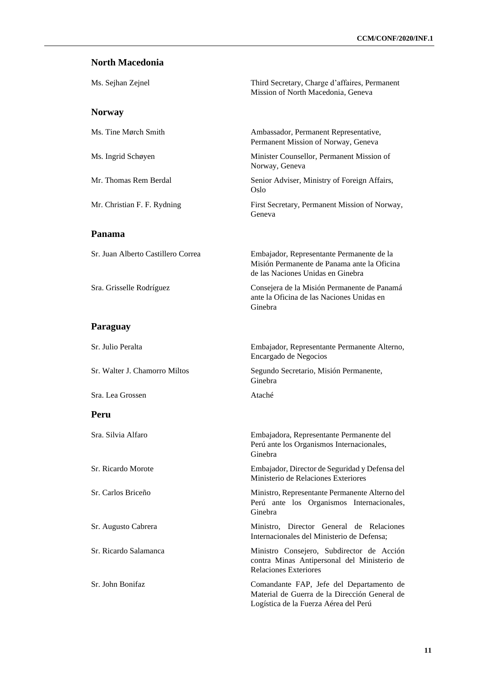#### **North Macedonia**

| Ms. Sejhan Zejnel                  | Third Secretary, Charge d'affaires, Permanent<br>Mission of North Macedonia, Geneva                                                |
|------------------------------------|------------------------------------------------------------------------------------------------------------------------------------|
| <b>Norway</b>                      |                                                                                                                                    |
| Ms. Tine Mørch Smith               | Ambassador, Permanent Representative,<br>Permanent Mission of Norway, Geneva                                                       |
| Ms. Ingrid Schøyen                 | Minister Counsellor, Permanent Mission of<br>Norway, Geneva                                                                        |
| Mr. Thomas Rem Berdal              | Senior Adviser, Ministry of Foreign Affairs,<br>Oslo                                                                               |
| Mr. Christian F. F. Rydning        | First Secretary, Permanent Mission of Norway,<br>Geneva                                                                            |
| Panama                             |                                                                                                                                    |
| Sr. Juan Alberto Castillero Correa | Embajador, Representante Permanente de la<br>Misión Permanente de Panama ante la Oficina<br>de las Naciones Unidas en Ginebra      |
| Sra. Grisselle Rodríguez           | Consejera de la Misión Permanente de Panamá<br>ante la Oficina de las Naciones Unidas en<br>Ginebra                                |
| Paraguay                           |                                                                                                                                    |
| Sr. Julio Peralta                  | Embajador, Representante Permanente Alterno,<br>Encargado de Negocios                                                              |
| Sr. Walter J. Chamorro Miltos      | Segundo Secretario, Misión Permanente,<br>Ginebra                                                                                  |
| Sra. Lea Grossen                   | Ataché                                                                                                                             |
| Peru                               |                                                                                                                                    |
| Sra. Silvia Alfaro                 | Embajadora, Representante Permanente del<br>Perú ante los Organismos Internacionales,<br>Ginebra                                   |
| Sr. Ricardo Morote                 | Embajador, Director de Seguridad y Defensa del<br>Ministerio de Relaciones Exteriores                                              |
| Sr. Carlos Briceño                 | Ministro, Representante Permanente Alterno del<br>Perú ante los Organismos Internacionales,<br>Ginebra                             |
| Sr. Augusto Cabrera                | Ministro, Director General de Relaciones<br>Internacionales del Ministerio de Defensa;                                             |
| Sr. Ricardo Salamanca              | Ministro Consejero, Subdirector de Acción<br>contra Minas Antipersonal del Ministerio de<br><b>Relaciones Exteriores</b>           |
| Sr. John Bonifaz                   | Comandante FAP, Jefe del Departamento de<br>Material de Guerra de la Dirección General de<br>Logística de la Fuerza Aérea del Perú |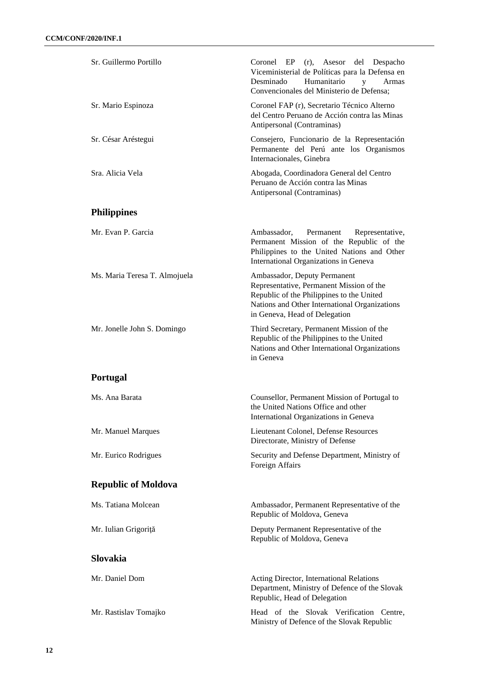| Sr. Guillermo Portillo        | Coronel EP<br>(r), Asesor del Despacho<br>Viceministerial de Políticas para la Defensa en<br>Humanitario<br>Desminado<br>y<br>Armas<br>Convencionales del Ministerio de Defensa;                        |  |
|-------------------------------|---------------------------------------------------------------------------------------------------------------------------------------------------------------------------------------------------------|--|
| Sr. Mario Espinoza            | Coronel FAP (r), Secretario Técnico Alterno<br>del Centro Peruano de Acción contra las Minas<br>Antipersonal (Contraminas)                                                                              |  |
| Sr. César Aréstegui           | Consejero, Funcionario de la Representación<br>Permanente del Perú ante los Organismos<br>Internacionales, Ginebra                                                                                      |  |
| Sra. Alicia Vela              | Abogada, Coordinadora General del Centro<br>Peruano de Acción contra las Minas<br>Antipersonal (Contraminas)                                                                                            |  |
| <b>Philippines</b>            |                                                                                                                                                                                                         |  |
| Mr. Evan P. Garcia            | Ambassador,<br>Permanent<br>Representative,<br>Permanent Mission of the Republic of the<br>Philippines to the United Nations and Other<br>International Organizations in Geneva                         |  |
| Ms. Maria Teresa T. Almojuela | Ambassador, Deputy Permanent<br>Representative, Permanent Mission of the<br>Republic of the Philippines to the United<br>Nations and Other International Organizations<br>in Geneva, Head of Delegation |  |
| Mr. Jonelle John S. Domingo   | Third Secretary, Permanent Mission of the<br>Republic of the Philippines to the United<br>Nations and Other International Organizations<br>in Geneva                                                    |  |
| <b>Portugal</b>               |                                                                                                                                                                                                         |  |
| Ms. Ana Barata                | Counsellor, Permanent Mission of Portugal to<br>the United Nations Office and other<br>International Organizations in Geneva                                                                            |  |
| Mr. Manuel Marques            | Lieutenant Colonel, Defense Resources<br>Directorate, Ministry of Defense                                                                                                                               |  |
| Mr. Eurico Rodrigues          | Security and Defense Department, Ministry of<br>Foreign Affairs                                                                                                                                         |  |
| <b>Republic of Moldova</b>    |                                                                                                                                                                                                         |  |
| Ms. Tatiana Molcean           | Ambassador, Permanent Representative of the<br>Republic of Moldova, Geneva                                                                                                                              |  |
| Mr. Iulian Grigoriță          | Deputy Permanent Representative of the<br>Republic of Moldova, Geneva                                                                                                                                   |  |
| <b>Slovakia</b>               |                                                                                                                                                                                                         |  |
| Mr. Daniel Dom                | Acting Director, International Relations<br>Department, Ministry of Defence of the Slovak<br>Republic, Head of Delegation                                                                               |  |
| Mr. Rastislav Tomajko         | Head of the Slovak Verification Centre,<br>Ministry of Defence of the Slovak Republic                                                                                                                   |  |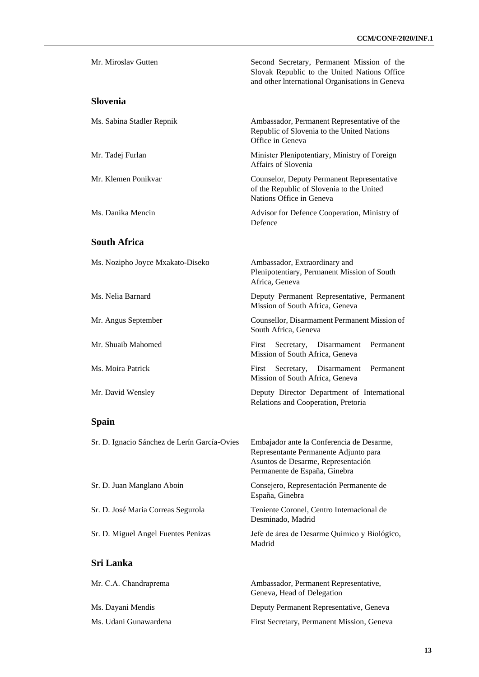| Mr. Miroslav Gutten                          | Second Secretary, Permanent Mission of the<br>Slovak Republic to the United Nations Office<br>and other International Organisations in Geneva             |
|----------------------------------------------|-----------------------------------------------------------------------------------------------------------------------------------------------------------|
| <b>Slovenia</b>                              |                                                                                                                                                           |
| Ms. Sabina Stadler Repnik                    | Ambassador, Permanent Representative of the<br>Republic of Slovenia to the United Nations<br>Office in Geneva                                             |
| Mr. Tadej Furlan                             | Minister Plenipotentiary, Ministry of Foreign<br>Affairs of Slovenia                                                                                      |
| Mr. Klemen Ponikvar                          | Counselor, Deputy Permanent Representative<br>of the Republic of Slovenia to the United<br>Nations Office in Geneva                                       |
| Ms. Danika Mencin                            | Advisor for Defence Cooperation, Ministry of<br>Defence                                                                                                   |
| <b>South Africa</b>                          |                                                                                                                                                           |
| Ms. Nozipho Joyce Mxakato-Diseko             | Ambassador, Extraordinary and<br>Plenipotentiary, Permanent Mission of South<br>Africa, Geneva                                                            |
| Ms. Nelia Barnard                            | Deputy Permanent Representative, Permanent<br>Mission of South Africa, Geneva                                                                             |
| Mr. Angus September                          | Counsellor, Disarmament Permanent Mission of<br>South Africa, Geneva                                                                                      |
| Mr. Shuaib Mahomed                           | Permanent<br>First<br>Secretary, Disarmament<br>Mission of South Africa, Geneva                                                                           |
| Ms. Moira Patrick                            | First<br>Secretary, Disarmament<br>Permanent<br>Mission of South Africa, Geneva                                                                           |
| Mr. David Wensley                            | Deputy Director Department of International<br>Relations and Cooperation, Pretoria                                                                        |
| <b>Spain</b>                                 |                                                                                                                                                           |
| Sr. D. Ignacio Sánchez de Lerín García-Ovies | Embajador ante la Conferencia de Desarme,<br>Representante Permanente Adjunto para<br>Asuntos de Desarme, Representación<br>Permanente de España, Ginebra |
| Sr. D. Juan Manglano Aboin                   | Consejero, Representación Permanente de<br>España, Ginebra                                                                                                |
| Sr. D. José Maria Correas Segurola           | Teniente Coronel, Centro Internacional de<br>Desminado, Madrid                                                                                            |
| Sr. D. Miguel Angel Fuentes Penizas          | Jefe de área de Desarme Químico y Biológico,<br>Madrid                                                                                                    |
| <b>Sri Lanka</b>                             |                                                                                                                                                           |
| Mr. C.A. Chandraprema                        | Ambassador, Permanent Representative,<br>Geneva, Head of Delegation                                                                                       |
| Ms. Dayani Mendis                            | Deputy Permanent Representative, Geneva                                                                                                                   |
| Ms. Udani Gunawardena                        | First Secretary, Permanent Mission, Geneva                                                                                                                |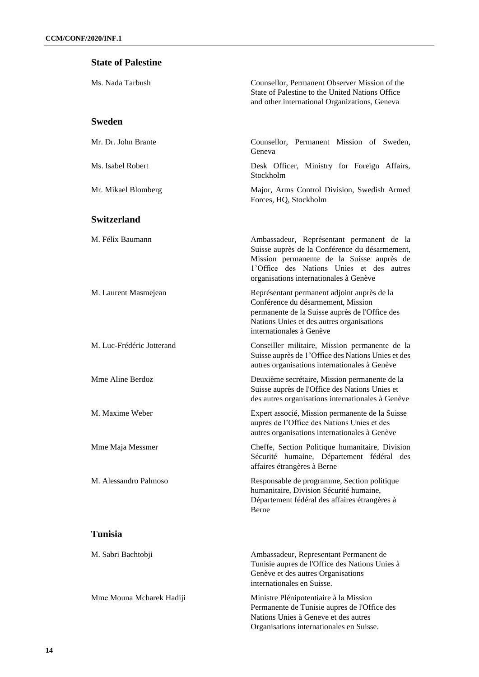#### **State of Palestine**

| Ms. Nada Tarbush          | Counsellor, Permanent Observer Mission of the<br>State of Palestine to the United Nations Office<br>and other international Organizations, Geneva                                                                              |
|---------------------------|--------------------------------------------------------------------------------------------------------------------------------------------------------------------------------------------------------------------------------|
| <b>Sweden</b>             |                                                                                                                                                                                                                                |
| Mr. Dr. John Brante       | Counsellor, Permanent Mission of Sweden,<br>Geneva                                                                                                                                                                             |
| Ms. Isabel Robert         | Desk Officer, Ministry for Foreign Affairs,<br>Stockholm                                                                                                                                                                       |
| Mr. Mikael Blomberg       | Major, Arms Control Division, Swedish Armed<br>Forces, HQ, Stockholm                                                                                                                                                           |
| <b>Switzerland</b>        |                                                                                                                                                                                                                                |
| M. Félix Baumann          | Ambassadeur, Représentant permanent de la<br>Suisse auprès de la Conférence du désarmement,<br>Mission permanente de la Suisse auprès de<br>l'Office des Nations Unies et des autres<br>organisations internationales à Genève |
| M. Laurent Masmejean      | Représentant permanent adjoint auprès de la<br>Conférence du désarmement, Mission<br>permanente de la Suisse auprès de l'Office des<br>Nations Unies et des autres organisations<br>internationales à Genève                   |
| M. Luc-Frédéric Jotterand | Conseiller militaire, Mission permanente de la<br>Suisse auprès de l'Office des Nations Unies et des<br>autres organisations internationales à Genève                                                                          |
| Mme Aline Berdoz          | Deuxième secrétaire, Mission permanente de la<br>Suisse auprès de l'Office des Nations Unies et<br>des autres organisations internationales à Genève                                                                           |
| M. Maxime Weber           | Expert associé, Mission permanente de la Suisse<br>auprès de l'Office des Nations Unies et des<br>autres organisations internationales à Genève                                                                                |
| Mme Maja Messmer          | Cheffe, Section Politique humanitaire, Division<br>Sécurité humaine, Département fédéral des<br>affaires étrangères à Berne                                                                                                    |
| M. Alessandro Palmoso     | Responsable de programme, Section politique<br>humanitaire, Division Sécurité humaine,<br>Département fédéral des affaires étrangères à<br>Berne                                                                               |
| <b>Tunisia</b>            |                                                                                                                                                                                                                                |
| M. Sabri Bachtobji        | Ambassadeur, Representant Permanent de<br>Tunisie aupres de l'Office des Nations Unies à<br>Genève et des autres Organisations<br>internationales en Suisse.                                                                   |
| Mme Mouna Mcharek Hadiji  | Ministre Plénipotentiaire à la Mission<br>Permanente de Tunisie aupres de l'Office des<br>Nations Unies à Geneve et des autres<br>Organisations internationales en Suisse.                                                     |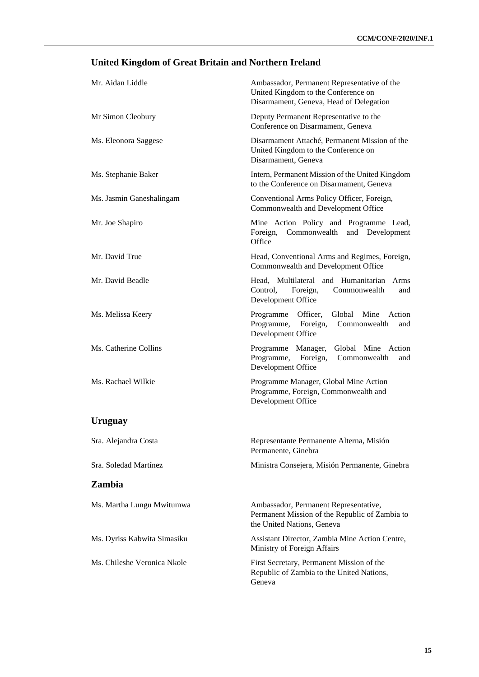# **United Kingdom of Great Britain and Northern Ireland**

| Mr. Aidan Liddle            | Ambassador, Permanent Representative of the<br>United Kingdom to the Conference on<br>Disarmament, Geneva, Head of Delegation |
|-----------------------------|-------------------------------------------------------------------------------------------------------------------------------|
| Mr Simon Cleobury           | Deputy Permanent Representative to the<br>Conference on Disarmament, Geneva                                                   |
| Ms. Eleonora Saggese        | Disarmament Attaché, Permanent Mission of the<br>United Kingdom to the Conference on<br>Disarmament, Geneva                   |
| Ms. Stephanie Baker         | Intern, Permanent Mission of the United Kingdom<br>to the Conference on Disarmament, Geneva                                   |
| Ms. Jasmin Ganeshalingam    | Conventional Arms Policy Officer, Foreign,<br>Commonwealth and Development Office                                             |
| Mr. Joe Shapiro             | Mine Action Policy and Programme Lead,<br>Foreign,<br>Commonwealth<br>and Development<br>Office                               |
| Mr. David True              | Head, Conventional Arms and Regimes, Foreign,<br>Commonwealth and Development Office                                          |
| Mr. David Beadle            | Head, Multilateral and Humanitarian<br>Arms<br>Control,<br>Foreign,<br>Commonwealth<br>and<br>Development Office              |
| Ms. Melissa Keery           | Officer,<br>Global<br>Mine<br>Programme<br>Action<br>Programme,<br>Foreign,<br>Commonwealth<br>and<br>Development Office      |
| Ms. Catherine Collins       | Global Mine Action<br>Programme<br>Manager,<br>Programme,<br>Foreign,<br>Commonwealth<br>and<br>Development Office            |
| Ms. Rachael Wilkie          | Programme Manager, Global Mine Action<br>Programme, Foreign, Commonwealth and<br>Development Office                           |
| Uruguay                     |                                                                                                                               |
| Sra. Alejandra Costa        | Representante Permanente Alterna, Misión<br>Permanente, Ginebra                                                               |
| Sra. Soledad Martínez       | Ministra Consejera, Misión Permanente, Ginebra                                                                                |
| Zambia                      |                                                                                                                               |
| Ms. Martha Lungu Mwitumwa   | Ambassador, Permanent Representative,<br>Permanent Mission of the Republic of Zambia to<br>the United Nations, Geneva         |
| Ms. Dyriss Kabwita Simasiku | Assistant Director, Zambia Mine Action Centre,<br>Ministry of Foreign Affairs                                                 |
| Ms. Chileshe Veronica Nkole | First Secretary, Permanent Mission of the<br>Republic of Zambia to the United Nations,<br>Geneva                              |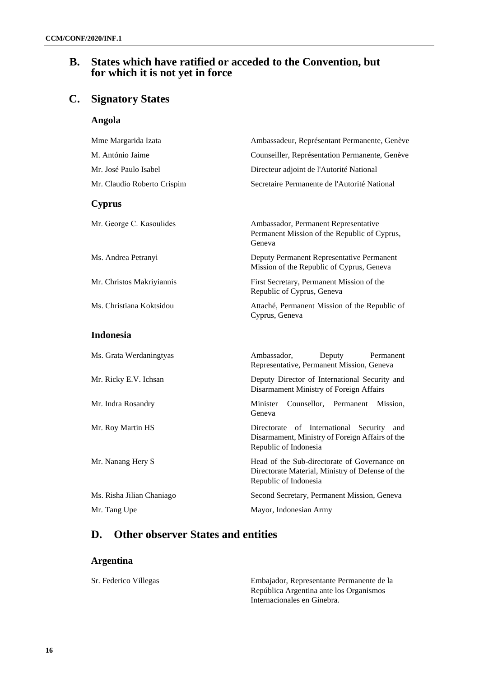### **B. States which have ratified or acceded to the Convention, but for which it is not yet in force**

## **C. Signatory States**

**Angola** 

| Mme Margarida Izata         | Ambassadeur, Représentant Permanente, Genève                                                                              |  |
|-----------------------------|---------------------------------------------------------------------------------------------------------------------------|--|
| M. António Jaime            | Counseiller, Représentation Permanente, Genève                                                                            |  |
| Mr. José Paulo Isabel       | Directeur adjoint de l'Autorité National                                                                                  |  |
| Mr. Claudio Roberto Crispim | Secretaire Permanente de l'Autorité National                                                                              |  |
| <b>Cyprus</b>               |                                                                                                                           |  |
| Mr. George C. Kasoulides    | Ambassador, Permanent Representative<br>Permanent Mission of the Republic of Cyprus,<br>Geneva                            |  |
| Ms. Andrea Petranyi         | Deputy Permanent Representative Permanent<br>Mission of the Republic of Cyprus, Geneva                                    |  |
| Mr. Christos Makriyiannis   | First Secretary, Permanent Mission of the<br>Republic of Cyprus, Geneva                                                   |  |
| Ms. Christiana Koktsidou    | Attaché, Permanent Mission of the Republic of<br>Cyprus, Geneva                                                           |  |
| <b>Indonesia</b>            |                                                                                                                           |  |
| Ms. Grata Werdaningtyas     | Ambassador,<br>Deputy<br>Permanent<br>Representative, Permanent Mission, Geneva                                           |  |
| Mr. Ricky E.V. Ichsan       | Deputy Director of International Security and<br>Disarmament Ministry of Foreign Affairs                                  |  |
| Mr. Indra Rosandry          | Minister<br>Counsellor,<br>Permanent<br>Mission,<br>Geneva                                                                |  |
| Mr. Roy Martin HS           | Directorate of International Security<br>and<br>Disarmament, Ministry of Foreign Affairs of the<br>Republic of Indonesia  |  |
| Mr. Nanang Hery S           | Head of the Sub-directorate of Governance on<br>Directorate Material, Ministry of Defense of the<br>Republic of Indonesia |  |
| Ms. Risha Jilian Chaniago   | Second Secretary, Permanent Mission, Geneva                                                                               |  |
| Mr. Tang Upe                | Mayor, Indonesian Army                                                                                                    |  |

## **D. Other observer States and entities**

#### **Argentina**

Sr. Federico Villegas Embajador, Representante Permanente de la República Argentina ante los Organismos Internacionales en Ginebra.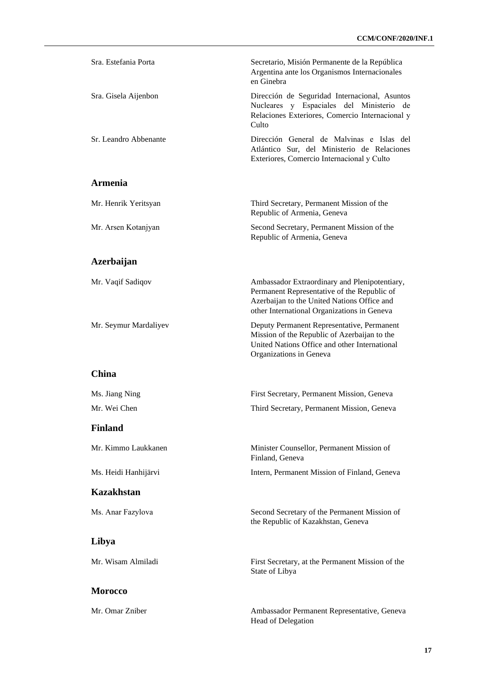| Sra. Estefania Porta  | Secretario, Misión Permanente de la República<br>Argentina ante los Organismos Internacionales<br>en Ginebra                                                                               |
|-----------------------|--------------------------------------------------------------------------------------------------------------------------------------------------------------------------------------------|
| Sra. Gisela Aijenbon  | Dirección de Seguridad Internacional, Asuntos<br>Nucleares y Espaciales del Ministerio de<br>Relaciones Exteriores, Comercio Internacional y<br>Culto                                      |
| Sr. Leandro Abbenante | Dirección General de Malvinas e Islas del<br>Atlántico Sur, del Ministerio de Relaciones<br>Exteriores, Comercio Internacional y Culto                                                     |
| <b>Armenia</b>        |                                                                                                                                                                                            |
| Mr. Henrik Yeritsyan  | Third Secretary, Permanent Mission of the<br>Republic of Armenia, Geneva                                                                                                                   |
| Mr. Arsen Kotanjyan   | Second Secretary, Permanent Mission of the<br>Republic of Armenia, Geneva                                                                                                                  |
| Azerbaijan            |                                                                                                                                                                                            |
| Mr. Vaqif Sadiqov     | Ambassador Extraordinary and Plenipotentiary,<br>Permanent Representative of the Republic of<br>Azerbaijan to the United Nations Office and<br>other International Organizations in Geneva |
| Mr. Seymur Mardaliyev | Deputy Permanent Representative, Permanent<br>Mission of the Republic of Azerbaijan to the<br>United Nations Office and other International<br>Organizations in Geneva                     |
| China                 |                                                                                                                                                                                            |
| Ms. Jiang Ning        | First Secretary, Permanent Mission, Geneva                                                                                                                                                 |
| Mr. Wei Chen          | Third Secretary, Permanent Mission, Geneva                                                                                                                                                 |
| <b>Finland</b>        |                                                                                                                                                                                            |
| Mr. Kimmo Laukkanen   | Minister Counsellor, Permanent Mission of<br>Finland, Geneva                                                                                                                               |
| Ms. Heidi Hanhijärvi  | Intern, Permanent Mission of Finland, Geneva                                                                                                                                               |
| <b>Kazakhstan</b>     |                                                                                                                                                                                            |
| Ms. Anar Fazylova     | Second Secretary of the Permanent Mission of<br>the Republic of Kazakhstan, Geneva                                                                                                         |
| Libya                 |                                                                                                                                                                                            |
| Mr. Wisam Almiladi    | First Secretary, at the Permanent Mission of the<br>State of Libya                                                                                                                         |
| <b>Morocco</b>        |                                                                                                                                                                                            |
| Mr. Omar Zniber       | Ambassador Permanent Representative, Geneva<br>Head of Delegation                                                                                                                          |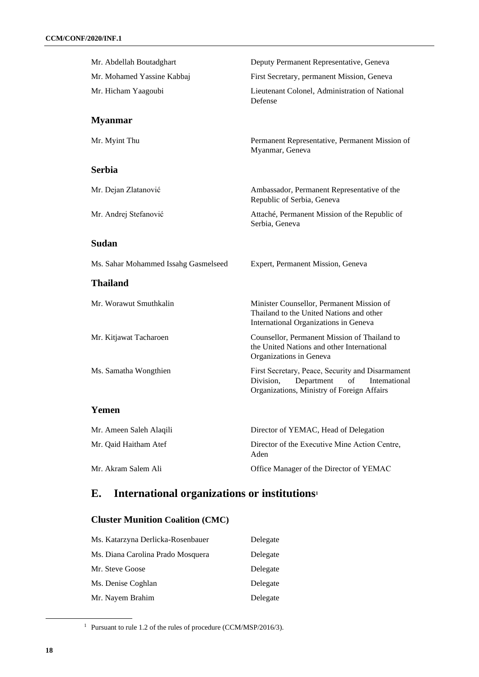| Mr. Abdellah Boutadghart             | Deputy Permanent Representative, Geneva                                                                                                         |
|--------------------------------------|-------------------------------------------------------------------------------------------------------------------------------------------------|
| Mr. Mohamed Yassine Kabbaj           | First Secretary, permanent Mission, Geneva                                                                                                      |
| Mr. Hicham Yaagoubi                  | Lieutenant Colonel, Administration of National<br>Defense                                                                                       |
| <b>Myanmar</b>                       |                                                                                                                                                 |
| Mr. Myint Thu                        | Permanent Representative, Permanent Mission of<br>Myanmar, Geneva                                                                               |
| <b>Serbia</b>                        |                                                                                                                                                 |
| Mr. Dejan Zlatanović                 | Ambassador, Permanent Representative of the<br>Republic of Serbia, Geneva                                                                       |
| Mr. Andrej Stefanović                | Attaché, Permanent Mission of the Republic of<br>Serbia, Geneva                                                                                 |
| <b>Sudan</b>                         |                                                                                                                                                 |
| Ms. Sahar Mohammed Issahg Gasmelseed | Expert, Permanent Mission, Geneva                                                                                                               |
| <b>Thailand</b>                      |                                                                                                                                                 |
| Mr. Worawut Smuthkalin               | Minister Counsellor, Permanent Mission of<br>Thailand to the United Nations and other<br>International Organizations in Geneva                  |
| Mr. Kitjawat Tacharoen               | Counsellor, Permanent Mission of Thailand to<br>the United Nations and other International<br>Organizations in Geneva                           |
| Ms. Samatha Wongthien                | First Secretary, Peace, Security and Disarmament<br>Division,<br>Intemational<br>Department<br>of<br>Organizations, Ministry of Foreign Affairs |
| Yemen                                |                                                                                                                                                 |
| Mr. Ameen Saleh Alaqili              | Director of YEMAC, Head of Delegation                                                                                                           |
| Mr. Qaid Haitham Atef                | Director of the Executive Mine Action Centre,<br>Aden                                                                                           |
| Mr. Akram Salem Ali                  | Office Manager of the Director of YEMAC                                                                                                         |

# **E. International organizations or institutions<sup>1</sup>**

### **Cluster Munition Coalition (CMC)**

| Ms. Katarzyna Derlicka-Rosenbauer | Delegate |
|-----------------------------------|----------|
| Ms. Diana Carolina Prado Mosquera | Delegate |
| Mr. Steve Goose                   | Delegate |
| Ms. Denise Coghlan                | Delegate |
| Mr. Nayem Brahim                  | Delegate |

<sup>1</sup> Pursuant to rule 1.2 of the rules of procedure (CCM/MSP/2016/3).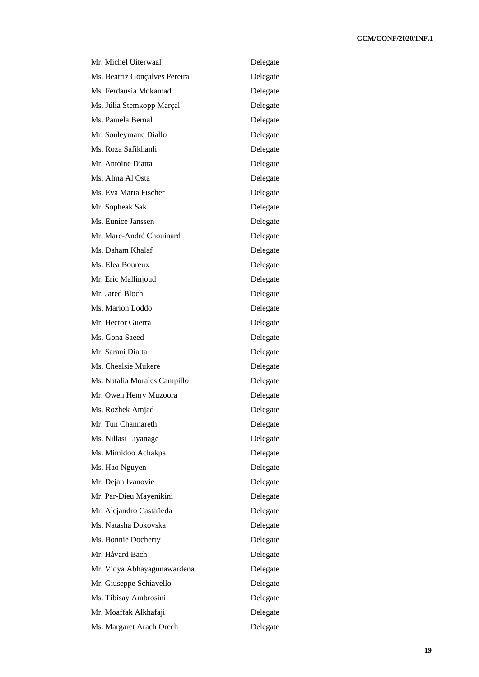| Mr. Michel Uiterwaal          | Delegate |
|-------------------------------|----------|
| Ms. Beatriz Gonçalves Pereira | Delegate |
| Ms. Ferdausia Mokamad         | Delegate |
| Ms. Júlia Stemkopp Marçal     | Delegate |
| Ms. Pamela Bernal             | Delegate |
| Mr. Souleymane Diallo         | Delegate |
| Ms. Roza Safikhanli           | Delegate |
| Mr. Antoine Diatta            | Delegate |
| Ms. Alma Al Osta              | Delegate |
| Ms. Eva Maria Fischer         | Delegate |
| Mr. Sopheak Sak               | Delegate |
| Ms. Eunice Janssen            | Delegate |
| Mr. Marc-André Chouinard      | Delegate |
| Ms. Daham Khalaf              | Delegate |
| Ms. Elea Boureux              | Delegate |
| Mr. Eric Mallinjoud           | Delegate |
| Mr. Jared Bloch               | Delegate |
| Ms. Marion Loddo              | Delegate |
| Mr. Hector Guerra             | Delegate |
| Ms. Gona Saeed                | Delegate |
| Mr. Sarani Diatta             | Delegate |
| Ms. Chealsie Mukere           | Delegate |
| Ms. Natalia Morales Campillo  | Delegate |
| Mr. Owen Henry Muzoora        | Delegate |
| Ms. Rozhek Amjad              | Delegate |
| Mr. Tun Channareth            | Delegate |
| Ms. Nillasi Liyanage          | Delegate |
| Ms. Mimidoo Achakpa           | Delegate |
| Ms. Hao Nguyen                | Delegate |
| Mr. Dejan Ivanovic            | Delegate |
| Mr. Par-Dieu Mayenikini       | Delegate |
| Mr. Alejandro Castañeda       | Delegate |
| Ms. Natasha Dokovska          | Delegate |
| Ms. Bonnie Docherty           | Delegate |
| Mr. Håvard Bach               | Delegate |
| Mr. Vidya Abhayagunawardena   | Delegate |
| Mr. Giuseppe Schiavello       | Delegate |
| Ms. Tibisay Ambrosini         | Delegate |
| Mr. Moaffak Alkhafaji         | Delegate |
| Ms. Margaret Arach Orech      | Delegate |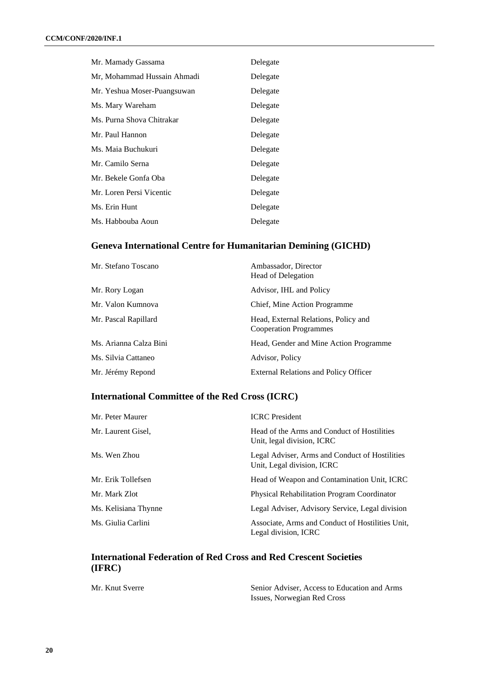| Mr. Mamady Gassama          | Delegate |
|-----------------------------|----------|
| Mr, Mohammad Hussain Ahmadi | Delegate |
| Mr. Yeshua Moser-Puangsuwan | Delegate |
| Ms. Mary Wareham            | Delegate |
| Ms. Purna Shova Chitrakar   | Delegate |
| Mr. Paul Hannon             | Delegate |
| Ms. Maia Buchukuri          | Delegate |
| Mr. Camilo Serna            | Delegate |
| Mr. Bekele Gonfa Oba        | Delegate |
| Mr. Loren Persi Vicentic    | Delegate |
| Ms. Erin Hunt               | Delegate |
| Ms. Habbouba Aoun           | Delegate |

#### **Geneva International Centre for Humanitarian Demining (GICHD)**

| Mr. Stefano Toscano    | Ambassador, Director<br><b>Head of Delegation</b>                     |
|------------------------|-----------------------------------------------------------------------|
| Mr. Rory Logan         | Advisor, IHL and Policy                                               |
| Mr. Valon Kumnova      | Chief, Mine Action Programme                                          |
| Mr. Pascal Rapillard   | Head, External Relations, Policy and<br><b>Cooperation Programmes</b> |
| Ms. Arianna Calza Bini | Head, Gender and Mine Action Programme                                |
| Ms. Silvia Cattaneo    | Advisor, Policy                                                       |
| Mr. Jérémy Repond      | <b>External Relations and Policy Officer</b>                          |

#### **International Committee of the Red Cross (ICRC)**

| Mr. Peter Maurer     | <b>ICRC</b> President                                                        |
|----------------------|------------------------------------------------------------------------------|
| Mr. Laurent Gisel,   | Head of the Arms and Conduct of Hostilities<br>Unit, legal division, ICRC    |
| Ms. Wen Zhou         | Legal Adviser, Arms and Conduct of Hostilities<br>Unit, Legal division, ICRC |
| Mr. Erik Tollefsen   | Head of Weapon and Contamination Unit, ICRC                                  |
| Mr. Mark Zlot        | <b>Physical Rehabilitation Program Coordinator</b>                           |
| Ms. Kelisiana Thynne | Legal Adviser, Advisory Service, Legal division                              |
| Ms. Giulia Carlini   | Associate, Arms and Conduct of Hostilities Unit,<br>Legal division, ICRC     |

#### **International Federation of Red Cross and Red Crescent Societies (IFRC)**

Mr. Knut Sverre Senior Adviser, Access to Education and Arms Issues, Norwegian Red Cross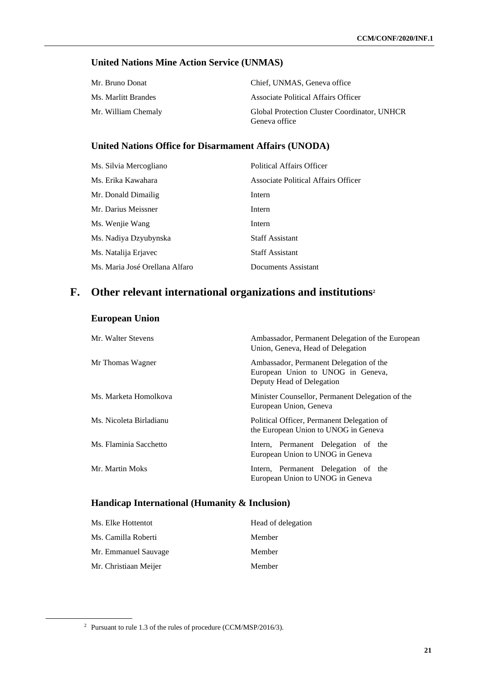### **United Nations Mine Action Service (UNMAS)**

| Mr. Bruno Donat     | Chief, UNMAS, Geneva office                                   |
|---------------------|---------------------------------------------------------------|
| Ms. Marlitt Brandes | Associate Political Affairs Officer                           |
| Mr. William Chemaly | Global Protection Cluster Coordinator, UNHCR<br>Geneva office |

#### **United Nations Office for Disarmament Affairs (UNODA)**

| Ms. Silvia Mercogliano         | <b>Political Affairs Officer</b>    |
|--------------------------------|-------------------------------------|
| Ms. Erika Kawahara             | Associate Political Affairs Officer |
| Mr. Donald Dimailig            | Intern                              |
| Mr. Darius Meissner            | Intern                              |
| Ms. Wenjie Wang                | Intern                              |
| Ms. Nadiya Dzyubynska          | <b>Staff Assistant</b>              |
| Ms. Natalija Erjavec           | <b>Staff Assistant</b>              |
| Ms. Maria José Orellana Alfaro | Documents Assistant                 |

# **F. Other relevant international organizations and institutions<sup>2</sup>**

#### **European Union**

| Mr. Walter Stevens      | Ambassador, Permanent Delegation of the European<br>Union, Geneva, Head of Delegation                     |
|-------------------------|-----------------------------------------------------------------------------------------------------------|
| Mr Thomas Wagner        | Ambassador, Permanent Delegation of the<br>European Union to UNOG in Geneva,<br>Deputy Head of Delegation |
| Ms. Marketa Homolkova   | Minister Counsellor, Permanent Delegation of the<br>European Union, Geneva                                |
| Ms. Nicoleta Birladianu | Political Officer, Permanent Delegation of<br>the European Union to UNOG in Geneva                        |
| Ms. Flaminia Sacchetto  | Intern, Permanent Delegation of the<br>European Union to UNOG in Geneva                                   |
| Mr. Martin Moks         | Intern, Permanent Delegation of the<br>European Union to UNOG in Geneva                                   |

### **Handicap International (Humanity & Inclusion)**

| Ms. Elke Hottentot    | Head of delegation |
|-----------------------|--------------------|
| Ms. Camilla Roberti   | Member             |
| Mr. Emmanuel Sauvage  | Member             |
| Mr. Christiaan Meijer | Member             |

<sup>2</sup> Pursuant to rule 1.3 of the rules of procedure (CCM/MSP/2016/3).